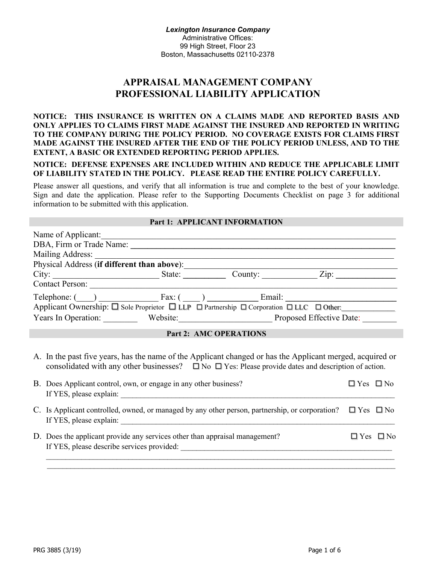# **APPRAISAL MANAGEMENT COMPANY PROFESSIONAL LIABILITY APPLICATION**

## **NOTICE: THIS INSURANCE IS WRITTEN ON A CLAIMS MADE AND REPORTED BASIS AND ONLY APPLIES TO CLAIMS FIRST MADE AGAINST THE INSURED AND REPORTED IN WRITING TO THE COMPANY DURING THE POLICY PERIOD. NO COVERAGE EXISTS FOR CLAIMS FIRST MADE AGAINST THE INSURED AFTER THE END OF THE POLICY PERIOD UNLESS, AND TO THE EXTENT, A BASIC OR EXTENDED REPORTING PERIOD APPLIES.**

**NOTICE: DEFENSE EXPENSES ARE INCLUDED WITHIN AND REDUCE THE APPLICABLE LIMIT OF LIABILITY STATED IN THE POLICY. PLEASE READ THE ENTIRE POLICY CAREFULLY.**

Please answer all questions, and verify that all information is true and complete to the best of your knowledge. Sign and date the application. Please refer to the Supporting Documents Checklist on page 3 for additional information to be submitted with this application.

#### **Part 1: APPLICANT INFORMATION**

| Name of Applicant:                                                                      |        |                                                                                                                                                             |                          |
|-----------------------------------------------------------------------------------------|--------|-------------------------------------------------------------------------------------------------------------------------------------------------------------|--------------------------|
| DBA, Firm or Trade Name:                                                                |        |                                                                                                                                                             |                          |
| Mailing Address:                                                                        |        |                                                                                                                                                             |                          |
| Physical Address (if different than above):                                             |        |                                                                                                                                                             |                          |
| City:                                                                                   | State: | County:                                                                                                                                                     | Zip:                     |
| <b>Contact Person:</b>                                                                  |        |                                                                                                                                                             |                          |
| Telephone: ( ) Fax: ( )                                                                 |        | Email:                                                                                                                                                      |                          |
| Applicant Ownership: □ Sole Proprietor □ LLP □ Partnership □ Corporation □ LLC □ Other: |        |                                                                                                                                                             |                          |
| Years In Operation:                                                                     |        | Website:                                                                                                                                                    | Proposed Effective Date: |
|                                                                                         |        | $\mathbf{R}$ $\mathbf{A}$ $\mathbf{M}$ $\mathbf{R}$ $\mathbf{A}$ $\mathbf{R}$ $\mathbf{R}$ $\mathbf{M}$ $\mathbf{R}$ $\mathbf{M}$ $\mathbf{M}$ $\mathbf{M}$ |                          |

## **Part 2: AMC OPERATIONS**

A. In the past five years, has the name of the Applicant changed or has the Applicant merged, acquired or consolidated with any other businesses?  $\Box$  No  $\Box$  Yes: Please provide dates and description of action.

| B. Does Applicant control, own, or engage in any other business?<br>If YES, please explain:                                | $\Box$ Yes $\Box$ No |                      |
|----------------------------------------------------------------------------------------------------------------------------|----------------------|----------------------|
| C. Is Applicant controlled, owned, or managed by any other person, partnership, or corporation?<br>If YES, please explain: | $\Box$ Yes $\Box$ No |                      |
| D. Does the applicant provide any services other than appraisal management?<br>If YES, please describe services provided:  |                      | $\Box$ Yes $\Box$ No |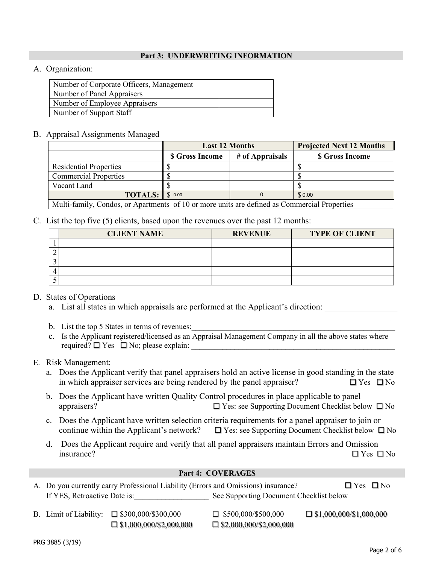## **Part 3: UNDERWRITING INFORMATION**

# A. Organization:

| Number of Corporate Officers, Management |  |
|------------------------------------------|--|
| Number of Panel Appraisers               |  |
| Number of Employee Appraisers            |  |
| Number of Support Staff                  |  |

## B. Appraisal Assignments Managed

|                                                                                            | <b>Last 12 Months</b>  |                 | <b>Projected Next 12 Months</b> |
|--------------------------------------------------------------------------------------------|------------------------|-----------------|---------------------------------|
|                                                                                            | <b>\$ Gross Income</b> | # of Appraisals | <b>S</b> Gross Income           |
| <b>Residential Properties</b>                                                              |                        |                 |                                 |
| <b>Commercial Properties</b>                                                               |                        |                 |                                 |
| Vacant Land                                                                                |                        |                 |                                 |
| <b>TOTALS:</b> $\$\circ\text{.}00$                                                         |                        |                 | \$0.00                          |
| Multi-family Condos or Aportments of 10 or more units are defined as Commercial Properties |                        |                 |                                 |

Multi-family, Condos, or Apartments of 10 or more units are defined as Commercial Properties

# C. List the top five (5) clients, based upon the revenues over the past 12 months:

| <b>CLIENT NAME</b> | <b>REVENUE</b> | <b>TYPE OF CLIENT</b> |
|--------------------|----------------|-----------------------|
|                    |                |                       |
|                    |                |                       |
|                    |                |                       |
|                    |                |                       |
|                    |                |                       |

# D. States of Operations

- a. List all states in which appraisals are performed at the Applicant's direction:
- b. List the top 5 States in terms of revenues:
- c. Is the Applicant registered/licensed as an Appraisal Management Company in all the above states where required?  $\Box$  Yes  $\Box$  No; please explain:

\_\_\_\_\_\_\_\_\_\_\_\_\_\_\_\_\_\_\_\_\_\_\_\_\_\_\_\_\_\_\_\_\_\_\_\_\_\_\_\_\_\_\_\_\_\_\_\_\_\_\_\_\_\_\_\_\_\_\_\_\_\_\_\_\_\_\_\_\_\_\_\_\_\_\_\_\_\_

# E. Risk Management:

- a. Does the Applicant verify that panel appraisers hold an active license in good standing in the state in which appraiser services are being rendered by the panel appraiser?  $\square$  Yes  $\square$  No
- b. Does the Applicant have written Quality Control procedures in place applicable to panel appraisers?  $\Box$  Yes: see Supporting Document Checklist below  $\Box$  No
- c. Does the Applicant have written selection criteria requirements for a panel appraiser to join or continue within the Applicant's network?  $\Box$  Yes: see Supporting Document Checklist below  $\Box$  No
- d. Does the Applicant require and verify that all panel appraisers maintain Errors and Omission  $\Box$  Yes  $\Box$  No

## **Part 4: COVERAGES**

|                              | A. Do you currently carry Professional Liability (Errors and Omissions) insurance? |                                         | $\Box$ Yes $\Box$ No           |
|------------------------------|------------------------------------------------------------------------------------|-----------------------------------------|--------------------------------|
| If YES, Retroactive Date is: |                                                                                    | See Supporting Document Checklist below |                                |
|                              | B. Limit of Liability: $\Box$ \$300,000/\$300,000                                  | $\Box$ \$500,000/\$500,000              | $\Box$ \$1,000,000/\$1,000,000 |

 $\Box$  \$1,000,000/\$2,000,000  $\Box$  \$2,000,000/\$2,000,000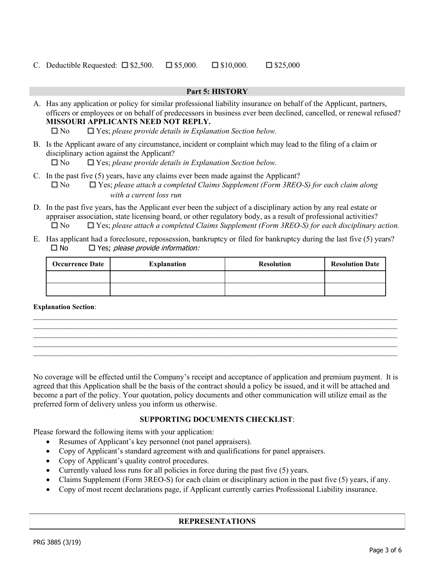C. Deductible Requested:  $\square$  \$2,500.  $\square$  \$5,000.  $\square$  \$10,000.  $\square$  \$25,000

# **Part 5: HISTORY** A. Has any application or policy for similar professional liability insurance on behalf of the Applicant, partners, officers or employees or on behalf of predecessors in business ever been declined, cancelled, or renewal refused? **MISSOURI APPLICANTS NEED NOT REPLY.**  No Yes; *please provide details in Explanation Section below.*  B. Is the Applicant aware of any circumstance, incident or complaint which may lead to the filing of a claim or disciplinary action against the Applicant? No Yes; *please provide details in Explanation Section below.*  C. In the past five (5) years, have any claims ever been made against the Applicant? No Yes; *please attach a completed Claims Supplement (Form 3REO-S) for each claim along with a current loss run* D. In the past five years, has the Applicant ever been the subject of a disciplinary action by any real estate or

- appraiser association, state licensing board, or other regulatory body, as a result of professional activities? No Yes; *please attach a completed Claims Supplement (Form 3REO-S) for each disciplinary action.*
- E. Has applicant had a foreclosure, repossession, bankruptcy or filed for bankruptcy during the last five (5) years?  $\square$  No  $\square$  Yes; please provide information:

| <b>Occurrence Date</b> | <b>Explanation</b> | <b>Resolution</b> | <b>Resolution Date</b> |
|------------------------|--------------------|-------------------|------------------------|
|                        |                    |                   |                        |
|                        |                    |                   |                        |

 $\_$  ,  $\_$  ,  $\_$  ,  $\_$  ,  $\_$  ,  $\_$  ,  $\_$  ,  $\_$  ,  $\_$  ,  $\_$  ,  $\_$  ,  $\_$  ,  $\_$  ,  $\_$  ,  $\_$  ,  $\_$  ,  $\_$  ,  $\_$  ,  $\_$  ,  $\_$  ,  $\_$  ,  $\_$  ,  $\_$  ,  $\_$  ,  $\_$  ,  $\_$  ,  $\_$  ,  $\_$  ,  $\_$  ,  $\_$  ,  $\_$  ,  $\_$  ,  $\_$  ,  $\_$  ,  $\_$  ,  $\_$  ,  $\_$  ,  $\_$  $\_$  ,  $\_$  ,  $\_$  ,  $\_$  ,  $\_$  ,  $\_$  ,  $\_$  ,  $\_$  ,  $\_$  ,  $\_$  ,  $\_$  ,  $\_$  ,  $\_$  ,  $\_$  ,  $\_$  ,  $\_$  ,  $\_$  ,  $\_$  ,  $\_$  ,  $\_$  ,  $\_$  ,  $\_$  ,  $\_$  ,  $\_$  ,  $\_$  ,  $\_$  ,  $\_$  ,  $\_$  ,  $\_$  ,  $\_$  ,  $\_$  ,  $\_$  ,  $\_$  ,  $\_$  ,  $\_$  ,  $\_$  ,  $\_$  ,  $\_$  ,  $\_$  ,  $\_$  ,  $\_$  ,  $\_$  ,  $\_$  ,  $\_$  ,  $\_$  ,  $\_$  ,  $\_$  ,  $\_$  ,  $\_$  ,  $\_$  ,  $\_$  ,  $\_$  ,  $\_$  ,  $\_$  ,  $\_$  ,  $\_$  ,  $\_$  ,  $\_$  ,  $\_$  ,  $\_$  ,  $\_$  ,  $\_$  ,  $\_$  ,  $\_$  ,  $\_$  ,  $\_$  ,  $\_$  ,  $\_$  ,  $\_$  ,  $\_$  ,  $\_$  ,  $\_$  ,  $\_$  ,  $\_$  ,  $\_$ 

**Explanation Section**:

No coverage will be effected until the Company's receipt and acceptance of application and premium payment. It is agreed that this Application shall be the basis of the contract should a policy be issued, and it will be attached and become a part of the policy. Your quotation, policy documents and other communication will utilize email as the preferred form of delivery unless you inform us otherwise.

## **SUPPORTING DOCUMENTS CHECKLIST**:

Please forward the following items with your application:

- Resumes of Applicant's key personnel (not panel appraisers).
- Copy of Applicant's standard agreement with and qualifications for panel appraisers.
- Copy of Applicant's quality control procedures.
- Currently valued loss runs for all policies in force during the past five (5) years.
- Claims Supplement (Form 3REO-S) for each claim or disciplinary action in the past five (5) years, if any.
- Copy of most recent declarations page, if Applicant currently carries Professional Liability insurance.

# **REPRESENTATIONS**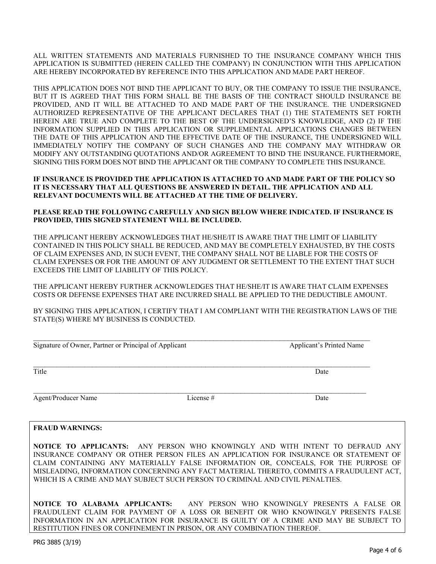ALL WRITTEN STATEMENTS AND MATERIALS FURNISHED TO THE INSURANCE COMPANY WHICH THIS APPLICATION IS SUBMITTED (HEREIN CALLED THE COMPANY) IN CONJUNCTION WITH THIS APPLICATION ARE HEREBY INCORPORATED BY REFERENCE INTO THIS APPLICATION AND MADE PART HEREOF.

THIS APPLICATION DOES NOT BIND THE APPLICANT TO BUY, OR THE COMPANY TO ISSUE THE INSURANCE, BUT IT IS AGREED THAT THIS FORM SHALL BE THE BASIS OF THE CONTRACT SHOULD INSURANCE BE PROVIDED, AND IT WILL BE ATTACHED TO AND MADE PART OF THE INSURANCE. THE UNDERSIGNED AUTHORIZED REPRESENTATIVE OF THE APPLICANT DECLARES THAT (1) THE STATEMENTS SET FORTH HEREIN ARE TRUE AND COMPLETE TO THE BEST OF THE UNDERSIGNED'S KNOWLEDGE, AND (2) IF THE INFORMATION SUPPLIED IN THIS APPLICATION OR SUPPLEMENTAL APPLICATIONS CHANGES BETWEEN THE DATE OF THIS APPLICATION AND THE EFFECTIVE DATE OF THE INSURANCE, THE UNDERSIGNED WILL IMMEDIATELY NOTIFY THE COMPANY OF SUCH CHANGES AND THE COMPANY MAY WITHDRAW OR MODIFY ANY OUTSTANDING QUOTATIONS AND/OR AGREEMENT TO BIND THE INSURANCE. FURTHERMORE, SIGNING THIS FORM DOES NOT BIND THE APPLICANT OR THE COMPANY TO COMPLETE THIS INSURANCE.

#### **IF INSURANCE IS PROVIDED THE APPLICATION IS ATTACHED TO AND MADE PART OF THE POLICY SO IT IS NECESSARY THAT ALL QUESTIONS BE ANSWERED IN DETAIL. THE APPLICATION AND ALL RELEVANT DOCUMENTS WILL BE ATTACHED AT THE TIME OF DELIVERY.**

#### **PLEASE READ THE FOLLOWING CAREFULLY AND SIGN BELOW WHERE INDICATED. IF INSURANCE IS PROVIDED, THIS SIGNED STATEMENT WILL BE INCLUDED.**

THE APPLICANT HEREBY ACKNOWLEDGES THAT HE/SHE/IT IS AWARE THAT THE LIMIT OF LIABILITY CONTAINED IN THIS POLICY SHALL BE REDUCED, AND MAY BE COMPLETELY EXHAUSTED, BY THE COSTS OF CLAIM EXPENSES AND, IN SUCH EVENT, THE COMPANY SHALL NOT BE LIABLE FOR THE COSTS OF CLAIM EXPENSES OR FOR THE AMOUNT OF ANY JUDGMENT OR SETTLEMENT TO THE EXTENT THAT SUCH EXCEEDS THE LIMIT OF LIABILITY OF THIS POLICY.

THE APPLICANT HEREBY FURTHER ACKNOWLEDGES THAT HE/SHE/IT IS AWARE THAT CLAIM EXPENSES COSTS OR DEFENSE EXPENSES THAT ARE INCURRED SHALL BE APPLIED TO THE DEDUCTIBLE AMOUNT.

BY SIGNING THIS APPLICATION, I CERTIFY THAT I AM COMPLIANT WITH THE REGISTRATION LAWS OF THE STATE(S) WHERE MY BUSINESS IS CONDUCTED.

| Signature of Owner, Partner or Principal of Applicant |             | <b>Applicant's Printed Name</b> |  |
|-------------------------------------------------------|-------------|---------------------------------|--|
| Title                                                 |             | Date                            |  |
| Agent/Producer Name                                   | License $#$ | Date                            |  |

#### **FRAUD WARNINGS:**

**NOTICE TO APPLICANTS:** ANY PERSON WHO KNOWINGLY AND WITH INTENT TO DEFRAUD ANY INSURANCE COMPANY OR OTHER PERSON FILES AN APPLICATION FOR INSURANCE OR STATEMENT OF CLAIM CONTAINING ANY MATERIALLY FALSE INFORMATION OR, CONCEALS, FOR THE PURPOSE OF MISLEADING, INFORMATION CONCERNING ANY FACT MATERIAL THERETO, COMMITS A FRAUDULENT ACT, WHICH IS A CRIME AND MAY SUBJECT SUCH PERSON TO CRIMINAL AND CIVIL PENALTIES.

**NOTICE TO ALABAMA APPLICANTS:** ANY PERSON WHO KNOWINGLY PRESENTS A FALSE OR FRAUDULENT CLAIM FOR PAYMENT OF A LOSS OR BENEFIT OR WHO KNOWINGLY PRESENTS FALSE INFORMATION IN AN APPLICATION FOR INSURANCE IS GUILTY OF A CRIME AND MAY BE SUBJECT TO RESTITUTION FINES OR CONFINEMENT IN PRISON, OR ANY COMBINATION THEREOF.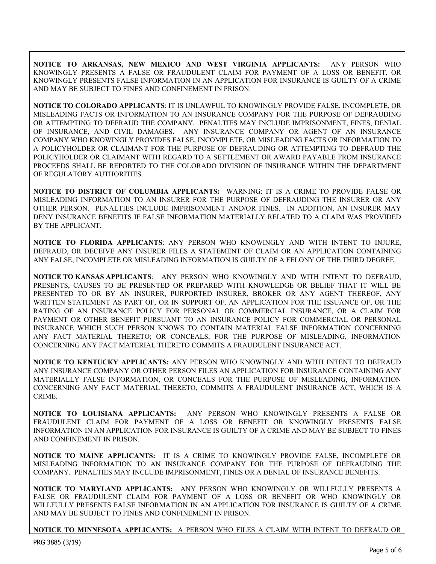**NOTICE TO ARKANSAS, NEW MEXICO AND WEST VIRGINIA APPLICANTS:** ANY PERSON WHO KNOWINGLY PRESENTS A FALSE OR FRAUDULENT CLAIM FOR PAYMENT OF A LOSS OR BENEFIT, OR KNOWINGLY PRESENTS FALSE INFORMATION IN AN APPLICATION FOR INSURANCE IS GUILTY OF A CRIME AND MAY BE SUBJECT TO FINES AND CONFINEMENT IN PRISON.

**NOTICE TO COLORADO APPLICANTS**: IT IS UNLAWFUL TO KNOWINGLY PROVIDE FALSE, INCOMPLETE, OR MISLEADING FACTS OR INFORMATION TO AN INSURANCE COMPANY FOR THE PURPOSE OF DEFRAUDING OR ATTEMPTING TO DEFRAUD THE COMPANY. PENALTIES MAY INCLUDE IMPRISONMENT, FINES, DENIAL OF INSURANCE, AND CIVIL DAMAGES. ANY INSURANCE COMPANY OR AGENT OF AN INSURANCE COMPANY WHO KNOWINGLY PROVIDES FALSE, INCOMPLETE, OR MISLEADING FACTS OR INFORMATION TO A POLICYHOLDER OR CLAIMANT FOR THE PURPOSE OF DEFRAUDING OR ATTEMPTING TO DEFRAUD THE POLICYHOLDER OR CLAIMANT WITH REGARD TO A SETTLEMENT OR AWARD PAYABLE FROM INSURANCE PROCEEDS SHALL BE REPORTED TO THE COLORADO DIVISION OF INSURANCE WITHIN THE DEPARTMENT OF REGULATORY AUTHORITIES.

**NOTICE TO DISTRICT OF COLUMBIA APPLICANTS:** WARNING: IT IS A CRIME TO PROVIDE FALSE OR MISLEADING INFORMATION TO AN INSURER FOR THE PURPOSE OF DEFRAUDING THE INSURER OR ANY OTHER PERSON. PENALTIES INCLUDE IMPRISONMENT AND/OR FINES. IN ADDITION, AN INSURER MAY DENY INSURANCE BENEFITS IF FALSE INFORMATION MATERIALLY RELATED TO A CLAIM WAS PROVIDED BY THE APPLICANT.

**NOTICE TO FLORIDA APPLICANTS**: ANY PERSON WHO KNOWINGLY AND WITH INTENT TO INJURE, DEFRAUD, OR DECEIVE ANY INSURER FILES A STATEMENT OF CLAIM OR AN APPLICATION CONTAINING ANY FALSE, INCOMPLETE OR MISLEADING INFORMATION IS GUILTY OF A FELONY OF THE THIRD DEGREE.

**NOTICE TO KANSAS APPLICANTS**: ANY PERSON WHO KNOWINGLY AND WITH INTENT TO DEFRAUD, PRESENTS, CAUSES TO BE PRESENTED OR PREPARED WITH KNOWLEDGE OR BELIEF THAT IT WILL BE PRESENTED TO OR BY AN INSURER, PURPORTED INSURER, BROKER OR ANY AGENT THEREOF, ANY WRITTEN STATEMENT AS PART OF, OR IN SUPPORT OF, AN APPLICATION FOR THE ISSUANCE OF, OR THE RATING OF AN INSURANCE POLICY FOR PERSONAL OR COMMERCIAL INSURANCE, OR A CLAIM FOR PAYMENT OR OTHER BENEFIT PURSUANT TO AN INSURANCE POLICY FOR COMMERCIAL OR PERSONAL INSURANCE WHICH SUCH PERSON KNOWS TO CONTAIN MATERIAL FALSE INFORMATION CONCERNING ANY FACT MATERIAL THERETO; OR CONCEALS, FOR THE PURPOSE OF MISLEADING, INFORMATION CONCERNING ANY FACT MATERIAL THERETO COMMITS A FRAUDULENT INSURANCE ACT.

**NOTICE TO KENTUCKY APPLICANTS:** ANY PERSON WHO KNOWINGLY AND WITH INTENT TO DEFRAUD ANY INSURANCE COMPANY OR OTHER PERSON FILES AN APPLICATION FOR INSURANCE CONTAINING ANY MATERIALLY FALSE INFORMATION, OR CONCEALS FOR THE PURPOSE OF MISLEADING, INFORMATION CONCERNING ANY FACT MATERIAL THERETO, COMMITS A FRAUDULENT INSURANCE ACT, WHICH IS A CRIME.

**NOTICE TO LOUISIANA APPLICANTS:** ANY PERSON WHO KNOWINGLY PRESENTS A FALSE OR FRAUDULENT CLAIM FOR PAYMENT OF A LOSS OR BENEFIT OR KNOWINGLY PRESENTS FALSE INFORMATION IN AN APPLICATION FOR INSURANCE IS GUILTY OF A CRIME AND MAY BE SUBJECT TO FINES AND CONFINEMENT IN PRISON.

**NOTICE TO MAINE APPLICANTS:** IT IS A CRIME TO KNOWINGLY PROVIDE FALSE, INCOMPLETE OR MISLEADING INFORMATION TO AN INSURANCE COMPANY FOR THE PURPOSE OF DEFRAUDING THE COMPANY. PENALTIES MAY INCLUDE IMPRISONMENT, FINES OR A DENIAL OF INSURANCE BENEFITS.

**NOTICE TO MARYLAND APPLICANTS:** ANY PERSON WHO KNOWINGLY OR WILLFULLY PRESENTS A FALSE OR FRAUDULENT CLAIM FOR PAYMENT OF A LOSS OR BENEFIT OR WHO KNOWINGLY OR WILLFULLY PRESENTS FALSE INFORMATION IN AN APPLICATION FOR INSURANCE IS GUILTY OF A CRIME AND MAY BE SUBJECT TO FINES AND CONFINEMENT IN PRISON.

**NOTICE TO MINNESOTA APPLICANTS:** A PERSON WHO FILES A CLAIM WITH INTENT TO DEFRAUD OR